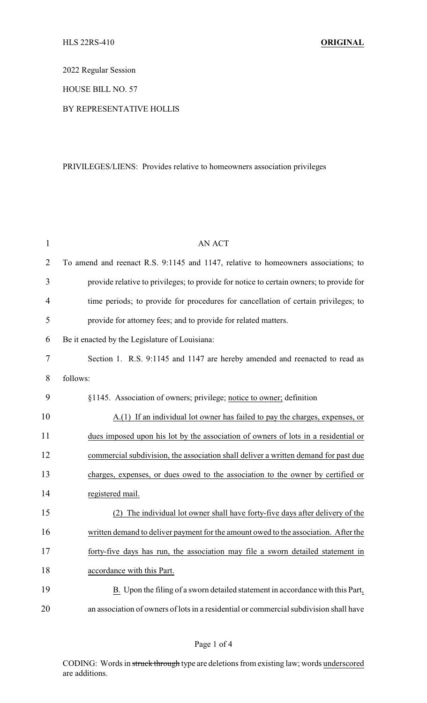2022 Regular Session

HOUSE BILL NO. 57

## BY REPRESENTATIVE HOLLIS

## PRIVILEGES/LIENS: Provides relative to homeowners association privileges

| $\mathbf{1}$   | <b>AN ACT</b>                                                                                 |
|----------------|-----------------------------------------------------------------------------------------------|
| $\overline{2}$ | To amend and reenact R.S. 9:1145 and 1147, relative to homeowners associations; to            |
| 3              | provide relative to privileges; to provide for notice to certain owners; to provide for       |
| 4              | time periods; to provide for procedures for cancellation of certain privileges; to            |
| 5              | provide for attorney fees; and to provide for related matters.                                |
| 6              | Be it enacted by the Legislature of Louisiana:                                                |
| 7              | Section 1. R.S. 9:1145 and 1147 are hereby amended and reenacted to read as                   |
| 8              | follows:                                                                                      |
| 9              | §1145. Association of owners; privilege; notice to owner; definition                          |
| 10             | A.(1) If an individual lot owner has failed to pay the charges, expenses, or                  |
| 11             | dues imposed upon his lot by the association of owners of lots in a residential or            |
| 12             | commercial subdivision, the association shall deliver a written demand for past due           |
| 13             | charges, expenses, or dues owed to the association to the owner by certified or               |
| 14             | registered mail.                                                                              |
| 15             | The individual lot owner shall have forty-five days after delivery of the                     |
| 16             | written demand to deliver payment for the amount owed to the association. After the           |
| 17             | forty-five days has run, the association may file a sworn detailed statement in               |
| 18             | accordance with this Part.                                                                    |
| 19             | $\underline{B}$ . Upon the filing of a sworn detailed statement in accordance with this Part, |
| 20             | an association of owners of lots in a residential or commercial subdivision shall have        |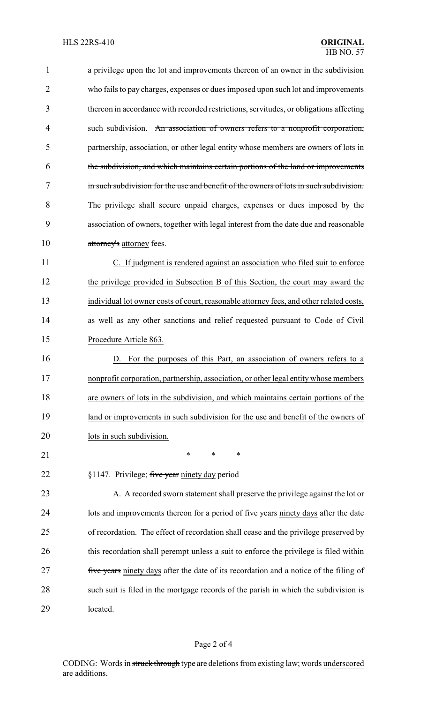| $\mathbf 1$ | a privilege upon the lot and improvements thereon of an owner in the subdivision             |
|-------------|----------------------------------------------------------------------------------------------|
| 2           | who fails to pay charges, expenses or dues imposed upon such lot and improvements            |
| 3           | thereon in accordance with recorded restrictions, servitudes, or obligations affecting       |
| 4           | such subdivision. An association of owners refers to a nonprofit corporation,                |
| 5           | partnership, association, or other legal entity whose members are owners of lots in          |
| 6           | the subdivision, and which maintains certain portions of the land or improvements            |
| 7           | in such subdivision for the use and benefit of the owners of lots in such subdivision.       |
| 8           | The privilege shall secure unpaid charges, expenses or dues imposed by the                   |
| 9           | association of owners, together with legal interest from the date due and reasonable         |
| 10          | attorney's attorney fees.                                                                    |
| 11          | C. If judgment is rendered against an association who filed suit to enforce                  |
| 12          | the privilege provided in Subsection B of this Section, the court may award the              |
| 13          | individual lot owner costs of court, reasonable attorney fees, and other related costs,      |
| 14          | as well as any other sanctions and relief requested pursuant to Code of Civil                |
| 15          | Procedure Article 863.                                                                       |
| 16          | For the purposes of this Part, an association of owners refers to a                          |
| 17          | nonprofit corporation, partnership, association, or other legal entity whose members         |
| 18          | are owners of lots in the subdivision, and which maintains certain portions of the           |
| 19          | land or improvements in such subdivision for the use and benefit of the owners of            |
| 20          | lots in such subdivision.                                                                    |
| 21          | *<br>∗<br>∗                                                                                  |
| 22          | §1147. Privilege; five year ninety day period                                                |
| 23          | $\underline{A}$ . A recorded sworn statement shall preserve the privilege against the lot or |
| 24          | lots and improvements thereon for a period of five years ninety days after the date          |
| 25          | of recordation. The effect of recordation shall cease and the privilege preserved by         |
| 26          | this recordation shall perempt unless a suit to enforce the privilege is filed within        |
| 27          | five years ninety days after the date of its recordation and a notice of the filing of       |
| 28          | such suit is filed in the mortgage records of the parish in which the subdivision is         |
| 29          | located.                                                                                     |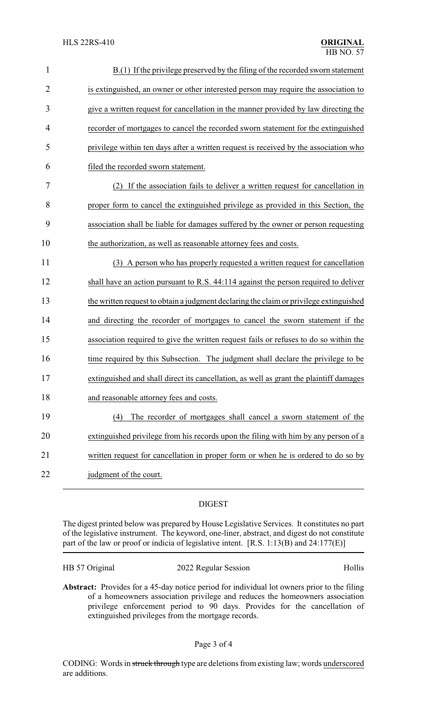| $\mathbf{1}$   | B.(1) If the privilege preserved by the filing of the recorded sworn statement         |
|----------------|----------------------------------------------------------------------------------------|
| $\overline{2}$ | is extinguished, an owner or other interested person may require the association to    |
| 3              | give a written request for cancellation in the manner provided by law directing the    |
| 4              | recorder of mortgages to cancel the recorded sworn statement for the extinguished      |
| 5              | privilege within ten days after a written request is received by the association who   |
| 6              | filed the recorded sworn statement.                                                    |
| $\tau$         | If the association fails to deliver a written request for cancellation in<br>(2)       |
| 8              | proper form to cancel the extinguished privilege as provided in this Section, the      |
| 9              | association shall be liable for damages suffered by the owner or person requesting     |
| 10             | the authorization, as well as reasonable attorney fees and costs.                      |
| 11             | (3) A person who has properly requested a written request for cancellation             |
| 12             | shall have an action pursuant to R.S. 44:114 against the person required to deliver    |
| 13             | the written request to obtain a judgment declaring the claim or privilege extinguished |
| 14             | and directing the recorder of mortgages to cancel the sworn statement if the           |
| 15             | association required to give the written request fails or refuses to do so within the  |
| 16             | time required by this Subsection. The judgment shall declare the privilege to be       |
| 17             | extinguished and shall direct its cancellation, as well as grant the plaintiff damages |
| 18             | and reasonable attorney fees and costs.                                                |
| 19             | The recorder of mortgages shall cancel a sworn statement of the<br>(4)                 |
| 20             | extinguished privilege from his records upon the filing with him by any person of a    |
| 21             | written request for cancellation in proper form or when he is ordered to do so by      |
| 22             | judgment of the court.                                                                 |
|                |                                                                                        |

## DIGEST

The digest printed below was prepared by House Legislative Services. It constitutes no part of the legislative instrument. The keyword, one-liner, abstract, and digest do not constitute part of the law or proof or indicia of legislative intent. [R.S. 1:13(B) and 24:177(E)]

| HB 57 Original | 2022 Regular Session | Hollis |
|----------------|----------------------|--------|
|----------------|----------------------|--------|

**Abstract:** Provides for a 45-day notice period for individual lot owners prior to the filing of a homeowners association privilege and reduces the homeowners association privilege enforcement period to 90 days. Provides for the cancellation of extinguished privileges from the mortgage records.